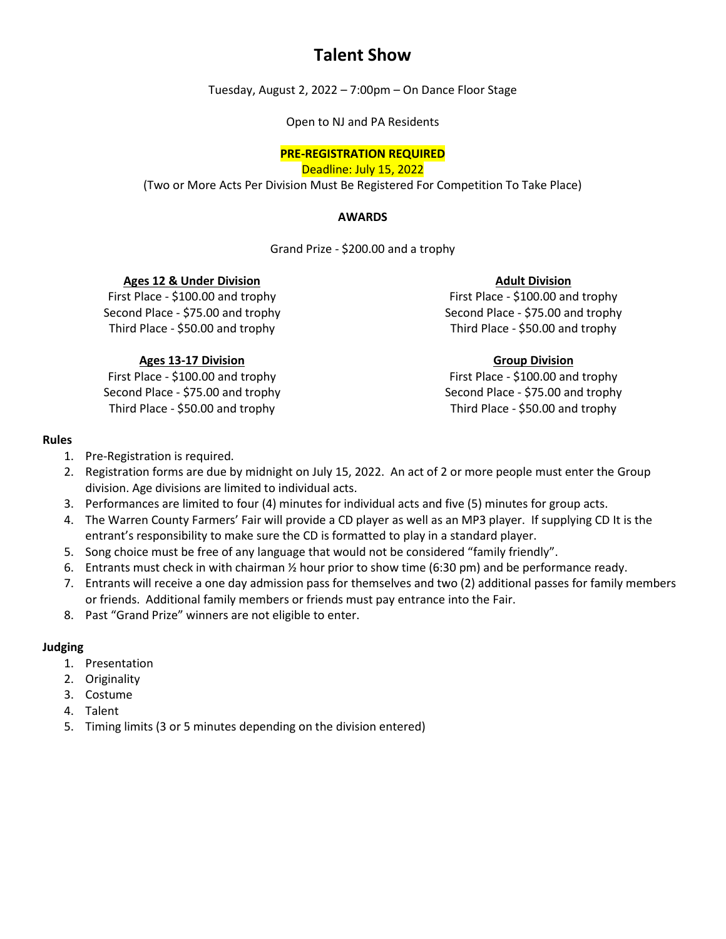## **Talent Show**

Tuesday, August 2, 2022 – 7:00pm – On Dance Floor Stage

Open to NJ and PA Residents

### **PRE-REGISTRATION REQUIRED**

Deadline: July 15, 2022

(Two or More Acts Per Division Must Be Registered For Competition To Take Place)

#### **AWARDS**

Grand Prize - \$200.00 and a trophy

### **Ages 12 & Under Division**

First Place - \$100.00 and trophy Second Place - \$75.00 and trophy Third Place - \$50.00 and trophy

### **Ages 13-17 Division**

First Place - \$100.00 and trophy Second Place - \$75.00 and trophy Third Place - \$50.00 and trophy

#### **Adult Division**

First Place - \$100.00 and trophy Second Place - \$75.00 and trophy Third Place - \$50.00 and trophy

### **Group Division**

First Place - \$100.00 and trophy Second Place - \$75.00 and trophy Third Place - \$50.00 and trophy

#### **Rules**

- 1. Pre-Registration is required.
- 2. Registration forms are due by midnight on July 15, 2022. An act of 2 or more people must enter the Group division. Age divisions are limited to individual acts.
- 3. Performances are limited to four (4) minutes for individual acts and five (5) minutes for group acts.
- 4. The Warren County Farmers' Fair will provide a CD player as well as an MP3 player. If supplying CD It is the entrant's responsibility to make sure the CD is formatted to play in a standard player.
- 5. Song choice must be free of any language that would not be considered "family friendly".
- 6. Entrants must check in with chairman ½ hour prior to show time (6:30 pm) and be performance ready.
- 7. Entrants will receive a one day admission pass for themselves and two (2) additional passes for family members or friends. Additional family members or friends must pay entrance into the Fair.
- 8. Past "Grand Prize" winners are not eligible to enter.

### **Judging**

- 1. Presentation
- 2. Originality
- 3. Costume
- 4. Talent
- 5. Timing limits (3 or 5 minutes depending on the division entered)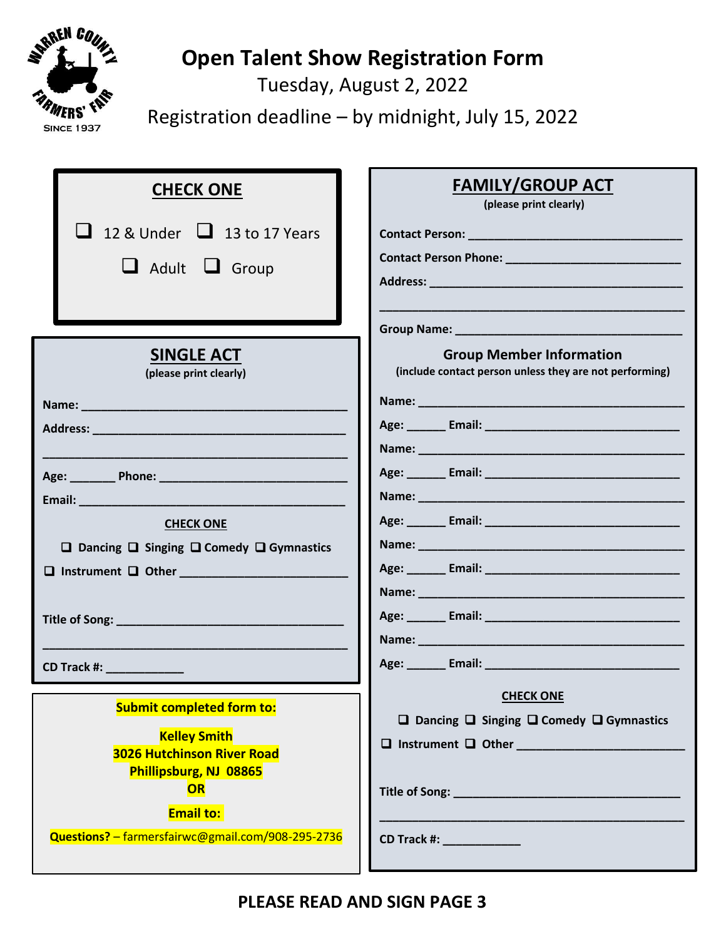

# **Open Talent Show Registration Form**

Tuesday, August 2, 2022

Registration deadline – by midnight, July 15, 2022

| <b>CHECK ONE</b>                                                                                                       | <b>FAMILY/GROUP ACT</b><br>(please print clearly)                                          |
|------------------------------------------------------------------------------------------------------------------------|--------------------------------------------------------------------------------------------|
| $\Box$ 12 & Under $\Box$ 13 to 17 Years<br>Adult U Group                                                               |                                                                                            |
|                                                                                                                        |                                                                                            |
| <b>SINGLE ACT</b><br>(please print clearly)                                                                            | <b>Group Member Information</b><br>(include contact person unless they are not performing) |
|                                                                                                                        |                                                                                            |
|                                                                                                                        |                                                                                            |
| <b>CHECK ONE</b><br>$\Box$ Dancing $\Box$ Singing $\Box$ Comedy $\Box$ Gymnastics                                      |                                                                                            |
|                                                                                                                        |                                                                                            |
| <b>CD Track #: ______________</b>                                                                                      |                                                                                            |
| <b>Submit completed form to:</b><br><b>Kelley Smith</b><br><b>3026 Hutchinson River Road</b><br>Phillipsburg, NJ 08865 | <b>CHECK ONE</b><br>$\Box$ Dancing $\Box$ Singing $\Box$ Comedy $\Box$ Gymnastics          |
| OR<br><b>Email to:</b><br>Questions? - farmersfairwc@gmail.com/908-295-2736                                            |                                                                                            |
|                                                                                                                        |                                                                                            |

**PLEASE READ AND SIGN PAGE 3**